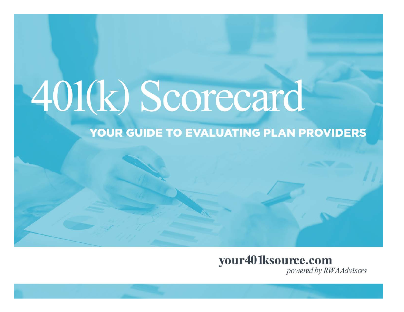# 401(k) Scorecard

#### YOUR GUIDE TO EVALUATING PLAN PROVIDERS

## your401ksource.com

powered by RWA Advisors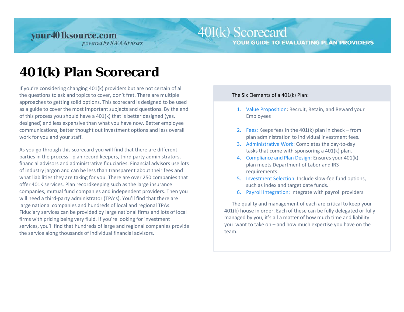### 401(k) Scorecard

**YOUR GUIDE TO EVALUATING PLAN PROVIDERS** 

# **401(k) Plan Scorecard**

If you're considering changing 401(k) providers but are not certain of all the questions to ask and topics to cover, don't fret. There are multiple approaches to getting solid options. This scorecard is designed to be used as a guide to cover the most important subjects and questions. By the end of this process you should have a 401(k) that is better designed (yes, designed) and less expensive than what you have now. Better employee communications, better thought out investment options and less overall work for you and your staff.

As you go through this scorecard you will find that there are different parties in the process - plan record keepers, third party administrators, financial advisors and administrative fiduciaries. Financial advisors use lots of industry jargon and can be less than transparent about their fees and what liabilities they are taking for you. There are over 250 companies that offer 401K services. Plan recordkeeping such as the large insurance companies, mutual fund companies and independent providers. Then you will need a third-party administrator (TPA's). You'll find that there are large national companies and hundreds of local and regional TPAs. Fiduciary services can be provided by large national firms and lots of local firms with pricing being very fluid. If you're looking for investment services, you'll find that hundreds of large and regional companies provide the service along thousands of individual financial advisors.

#### The Six Elements of a 401(k) Plan:

- 1. Value Proposition: Recruit, Retain, and Reward your Employees
- 2. Fees: Keeps fees in the 401(k) plan in check from plan administration to individual investment fees.
- 3. Administrative Work: Completes the day-to-day tasks that come with sponsoring a 401(k) plan.
- 4. Compliance and Plan Design: Ensures your 401(k) plan meets Department of Labor and IRS requirements.
- 5. Investment Selection: Include slow-fee fund options, such as index and target date funds.
- 6. Payroll Integration: Integrate with payroll providers

The quality and management of each are critical to keep your 401(k) house in order. Each of these can be fully delegated or fully managed by you, it's all a matter of how much time and liability you want to take on – and how much expertise you have on the team.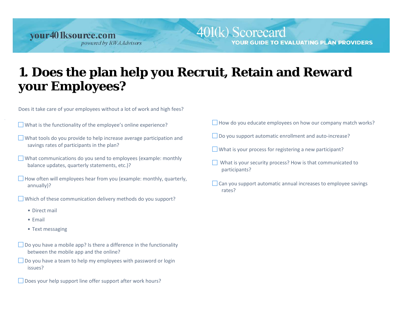# **1. Does the plan help you Recruit, Retain and Reward your Employees?**

Does it take care of your employees without a lot of work and high fees?

What is the functionality of the employee's online experience?

- What tools do you provide to help increase average participation and savings rates of participants in the plan?
- What communications do you send to employees (example: monthly balance updates, quarterly statements, etc.)?
- $\Box$  How often will employees hear from you (example: monthly, quarterly, annually)?
- Which of these communication delivery methods do you support?
	- Direct mail
	- Email
	- Text messaging
- $\Box$  Do you have a mobile app? Is there a difference in the functionality between the mobile app and the online?
- $\Box$  Do you have a team to help my employees with password or login issues?

Does your help support line offer support after work hours?

 $\Box$  How do you educate employees on how our company match works?

YOUR GUIDE TO EVALUATING PLAN PROVIDERS

- Do you support automatic enrollment and auto-increase?
- $\Box$  What is your process for registering a new participant?

401(k) Scorecard

- What is your security process? How is that communicated to participants?
- $\Box$  Can you support automatic annual increases to employee savings rates?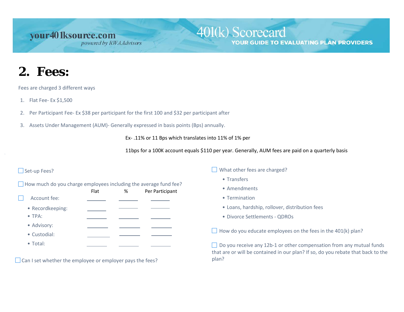#### 401(k) Scorecard **YOUR GUIDE TO EVALUATING PLAN PROVIDERS**

# **2. Fees:**

Fees are charged 3 different ways

- 1. Flat Fee- Ex \$1,500
- 2. Per Participant Fee- Ex \$38 per participant for the first 100 and \$32 per participant after
- 3. Assets Under Management (AUM)- Generally expressed in basis points (Bps) annually.

Ex- .11% or 11 Bps which translates into 11% of 1% per

11bps for a 100K account equals \$110 per year. Generally, AUM fees are paid on a quarterly basis

#### Set-up Fees?

| $\Box$ How much do you charge employees including the average fund fee? |  |  |  |  |  |
|-------------------------------------------------------------------------|--|--|--|--|--|
|                                                                         |  |  |  |  |  |

|                  | Flat | % | Per Participant |
|------------------|------|---|-----------------|
| Account fee:     |      |   |                 |
| • Recordkeeping: |      |   |                 |
| $\bullet$ TPA:   |      |   |                 |
| • Advisory:      |      |   |                 |
| • Custodial:     |      |   |                 |
| • Total:         |      |   |                 |

 $\Box$  Can I set whether the employee or employer pays the fees?

What other fees are charged?

- Transfers
- Amendments
- Termination
- Loans, hardship, rollover, distribution fees
- Divorce Settlements QDROs

 $\Box$  How do you educate employees on the fees in the 401(k) plan?

□ Do you receive any 12b-1 or other compensation from any mutual funds that are or will be contained in our plan? If so, do you rebate that back to the plan?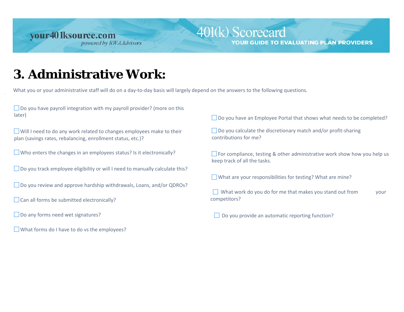#### 401(k) Scorecard **YOUR GUIDE TO EVALUATING PLAN PROVIDERS**

## **3. Administrative Work:**

What you or your administrative staff will do on a day-to-day basis will largely depend on the answers to the following questions.

 $\Box$  Do you have payroll integration with my payroll provider? (more on this later)

Will I need to do any work related to changes employees make to their plan (savings rates, rebalancing, enrollment status, etc.)?

 $\Box$  Who enters the changes in an employees status? Is it electronically?

□ Do you track employee eligibility or will I need to manually calculate this?

■ Do you review and approve hardship withdrawals, Loans, and/or QDROs?

 $\Box$  Can all forms be submitted electronically?

Do any forms need wet signatures?

What forms do I have to do vs the employees?

□ Do you have an Employee Portal that shows what needs to be completed?

 $\Box$  Do you calculate the discretionary match and/or profit-sharing contributions for me?

 $\Box$  For compliance, testing & other administrative work show how you help us keep track of all the tasks.

 $\Box$  What are your responsibilities for testing? What are mine?

 $\Box$  What work do you do for me that makes you stand out from  $\Box$ competitors?

 $\Box$  Do you provide an automatic reporting function?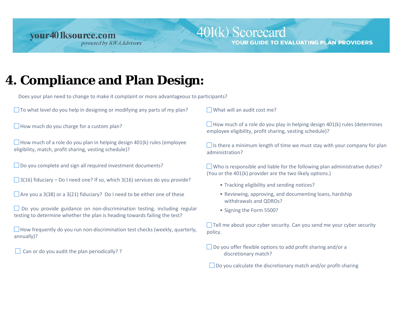#### 401(k) Scorecard YOUR GUIDE TO EVALUATING PLAN PROVIDERS

# **4. Compliance and Plan Design:**

Does your plan need to change to make it complaint or more advantageous to participants?

 $\Box$  To what level do you help in designing or modifying any parts of my plan?

 $\Box$  How much do you charge for a custom plan?

 $\Box$  How much of a role do you plan in helping design 401(k) rules (employee eligibility, match, profit sharing, vesting schedule)?

◯ Do you complete and sign all required investment documents?

 $\Box$  3(16) fiduciary – Do I need one? If so, which 3(16) services do you provide?

 $\Box$  Are you a 3(38) or a 3(21) fiduciary? Do I need to be either one of these

□ Do you provide guidance on non-discrimination testing, including regular testing to determine whether the plan is heading towards failing the test?

 $\Box$  How frequently do you run non-discrimination test checks (weekly, quarterly, annually)?

 $\Box$  Can or do you audit the plan periodically? ?

 $\Box$  What will an audit cost me?

 $\Box$  How much of a role do you play in helping design 401(k) rules (determines employee eligibility, profit sharing, vesting schedule)?

 $\Box$  Is there a minimum length of time we must stay with your company for plan administration?

 Who is responsible and liable for the following plan administrative duties? (You or the 401(k) provider are the two likely options.)

- Tracking eligibility and sending notices?
- Reviewing, approving, and documenting loans, hardship withdrawals and QDROs?
- Signing the Form 5500?

 $\Box$  Tell me about your cyber security. Can you send me your cyber security policy.

 $\Box$  Do you offer flexible options to add profit sharing and/or a discretionary match?

 $\Box$  Do you calculate the discretionary match and/or profit-sharing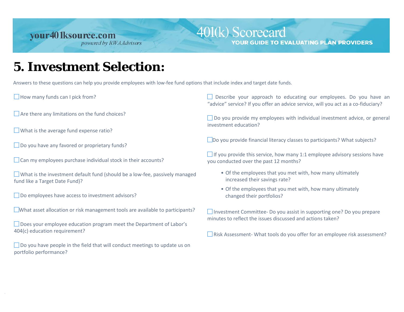#### 401(k) Scorecard YOUR GUIDE TO EVALUATING PLAN PROVIDERS

## **5. Investment Selection:**

Answers to these questions can help you provide employees with low-fee fund options that include index and target date funds.

 $\Box$  How many funds can I pick from?

 $\Box$  Are there any limitations on the fund choices?

What is the average fund expense ratio?

 $\Box$  Do you have any favored or proprietary funds?

 $\Box$  Can my employees purchase individual stock in their accounts?

 What is the investment default fund (should be a low-fee, passively managed fund like a Target Date Fund)?

□ Do employees have access to investment advisors?

What asset allocation or risk management tools are available to participants?

Does your employee education program meet the Department of Labor's 404(c) education requirement?

■ Do you have people in the field that will conduct meetings to update us on portfolio performance?

Describe your approach to educating our employees. Do you have an "advice" service? If you offer an advice service, will you act as a co-fiduciary?

■ Do you provide my employees with individual investment advice, or general investment education?

Do you provide financial literacy classes to participants? What subjects?

 $\Box$  If you provide this service, how many 1:1 employee advisory sessions have you conducted over the past 12 months?

- Of the employees that you met with, how many ultimately increased their savings rate?
- Of the employees that you met with, how many ultimately changed their portfolios?

□ Investment Committee- Do you assist in supporting one? Do you prepare minutes to reflect the issues discussed and actions taken?

 $\Box$  Risk Assessment- What tools do you offer for an employee risk assessment?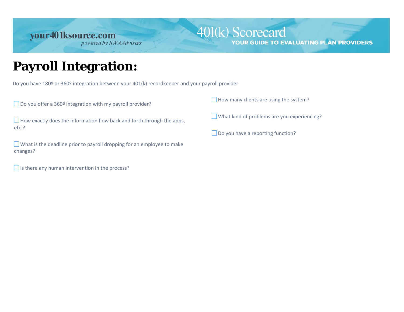#### 401(k) Scorecard **YOUR GUIDE TO EVALUATING PLAN PROVIDERS**

## **Payroll Integration:**

Do you have 180º or 360º integration between your 401(k) recordkeeper and your payroll provider

 $\Box$  Do you offer a 360<sup>o</sup> integration with my payroll provider?

 $\Box$  How exactly does the information flow back and forth through the apps, etc.?

 What is the deadline prior to payroll dropping for an employee to make changes?

 $\Box$  Is there any human intervention in the process?

 $\Box$  How many clients are using the system?

What kind of problems are you experiencing?

 $\Box$  Do you have a reporting function?